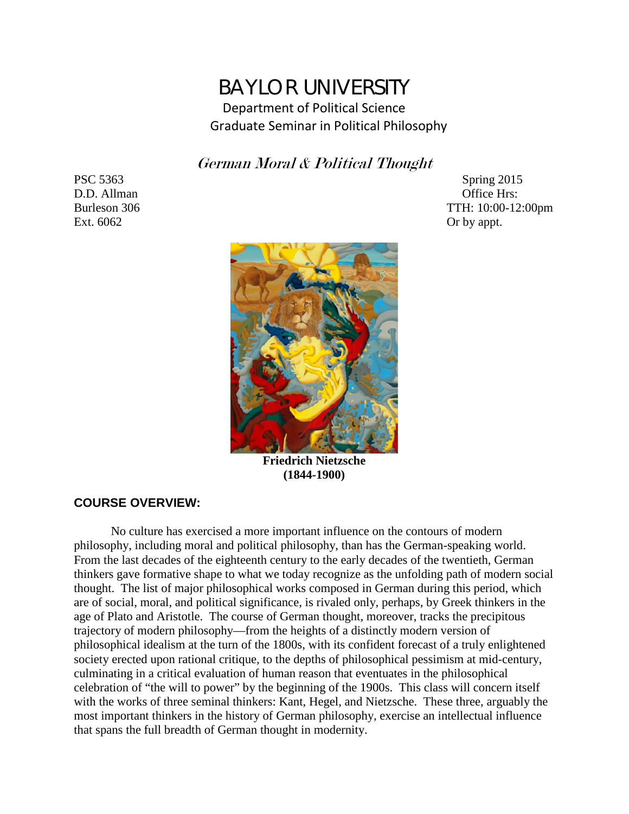# BAYLOR UNIVERSITY Department of Political Science Graduate Seminar in Political Philosophy

German Moral & Political Thought

Ext. 6062 Or by appt.

PSC 5363 Spring 2015 D.D. Allman Office Hrs: Burleson 306 TTH: 10:00-12:00pm



**Friedrich Nietzsche (1844-1900)**

# **COURSE OVERVIEW:**

No culture has exercised a more important influence on the contours of modern philosophy, including moral and political philosophy, than has the German-speaking world. From the last decades of the eighteenth century to the early decades of the twentieth, German thinkers gave formative shape to what we today recognize as the unfolding path of modern social thought. The list of major philosophical works composed in German during this period, which are of social, moral, and political significance, is rivaled only, perhaps, by Greek thinkers in the age of Plato and Aristotle. The course of German thought, moreover, tracks the precipitous trajectory of modern philosophy—from the heights of a distinctly modern version of philosophical idealism at the turn of the 1800s, with its confident forecast of a truly enlightened society erected upon rational critique, to the depths of philosophical pessimism at mid-century, culminating in a critical evaluation of human reason that eventuates in the philosophical celebration of "the will to power" by the beginning of the 1900s. This class will concern itself with the works of three seminal thinkers: Kant, Hegel, and Nietzsche. These three, arguably the most important thinkers in the history of German philosophy, exercise an intellectual influence that spans the full breadth of German thought in modernity.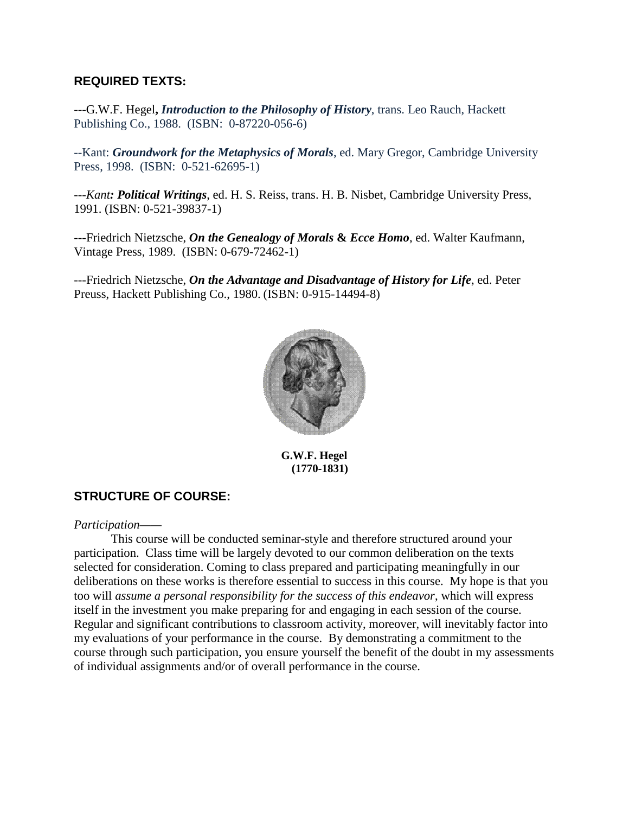# **REQUIRED TEXTS:**

---G.W.F. Hegel**,** *Introduction to the Philosophy of History*, trans. Leo Rauch, Hackett Publishing Co., 1988. (ISBN: 0-87220-056-6)

--Kant: *Groundwork for the Metaphysics of Morals*, ed. Mary Gregor, Cambridge University Press, 1998. (ISBN: 0-521-62695-1)

---*Kant: Political Writings*, ed. H. S. Reiss, trans. H. B. Nisbet, Cambridge University Press, 1991. (ISBN: 0-521-39837-1)

---Friedrich Nietzsche, *On the Genealogy of Morals* **&** *Ecce Homo*, ed. Walter Kaufmann, Vintage Press, 1989. (ISBN: 0-679-72462-1)

---Friedrich Nietzsche, *On the Advantage and Disadvantage of History for Life*, ed. Peter Preuss, Hackett Publishing Co., 1980. (ISBN: 0-915-14494-8)



**G.W.F. Hegel (1770-1831)**

# **STRUCTURE OF COURSE:**

*Participation——*

This course will be conducted seminar-style and therefore structured around your participation. Class time will be largely devoted to our common deliberation on the texts selected for consideration. Coming to class prepared and participating meaningfully in our deliberations on these works is therefore essential to success in this course. My hope is that you too will *assume a personal responsibility for the success of this endeavor*, which will express itself in the investment you make preparing for and engaging in each session of the course. Regular and significant contributions to classroom activity, moreover, will inevitably factor into my evaluations of your performance in the course. By demonstrating a commitment to the course through such participation, you ensure yourself the benefit of the doubt in my assessments of individual assignments and/or of overall performance in the course.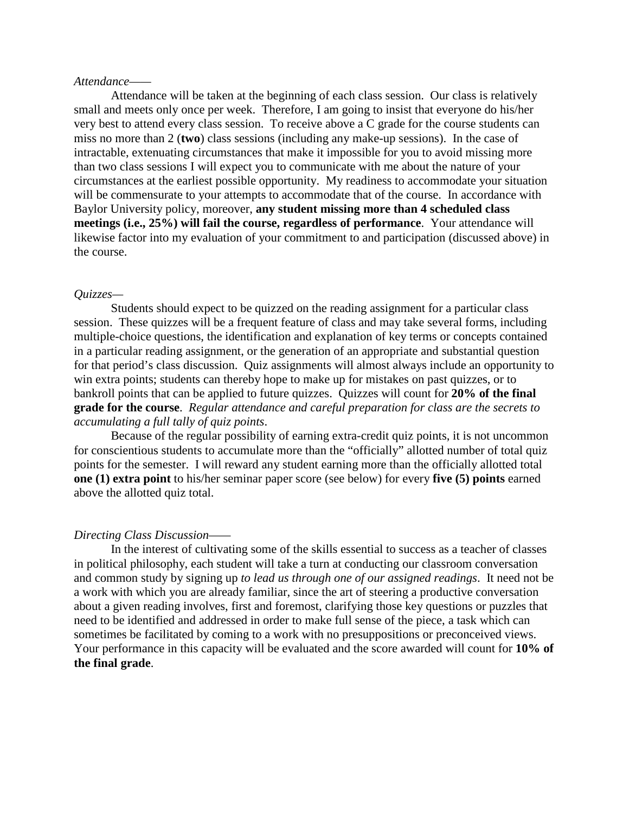#### *Attendance——*

Attendance will be taken at the beginning of each class session. Our class is relatively small and meets only once per week. Therefore, I am going to insist that everyone do his/her very best to attend every class session. To receive above a C grade for the course students can miss no more than 2 (**two**) class sessions (including any make-up sessions). In the case of intractable, extenuating circumstances that make it impossible for you to avoid missing more than two class sessions I will expect you to communicate with me about the nature of your circumstances at the earliest possible opportunity. My readiness to accommodate your situation will be commensurate to your attempts to accommodate that of the course. In accordance with Baylor University policy, moreover, **any student missing more than 4 scheduled class meetings (i.e., 25%) will fail the course, regardless of performance**. Your attendance will likewise factor into my evaluation of your commitment to and participation (discussed above) in the course.

#### *Quizzes—*

Students should expect to be quizzed on the reading assignment for a particular class session. These quizzes will be a frequent feature of class and may take several forms, including multiple-choice questions, the identification and explanation of key terms or concepts contained in a particular reading assignment, or the generation of an appropriate and substantial question for that period's class discussion. Quiz assignments will almost always include an opportunity to win extra points; students can thereby hope to make up for mistakes on past quizzes, or to bankroll points that can be applied to future quizzes. Quizzes will count for **20% of the final grade for the course**. *Regular attendance and careful preparation for class are the secrets to accumulating a full tally of quiz points*.

Because of the regular possibility of earning extra-credit quiz points, it is not uncommon for conscientious students to accumulate more than the "officially" allotted number of total quiz points for the semester. I will reward any student earning more than the officially allotted total **one (1) extra point** to his/her seminar paper score (see below) for every **five (5) points** earned above the allotted quiz total.

#### *Directing Class Discussion——*

In the interest of cultivating some of the skills essential to success as a teacher of classes in political philosophy, each student will take a turn at conducting our classroom conversation and common study by signing up *to lead us through one of our assigned readings*. It need not be a work with which you are already familiar, since the art of steering a productive conversation about a given reading involves, first and foremost, clarifying those key questions or puzzles that need to be identified and addressed in order to make full sense of the piece, a task which can sometimes be facilitated by coming to a work with no presuppositions or preconceived views. Your performance in this capacity will be evaluated and the score awarded will count for **10% of the final grade**.